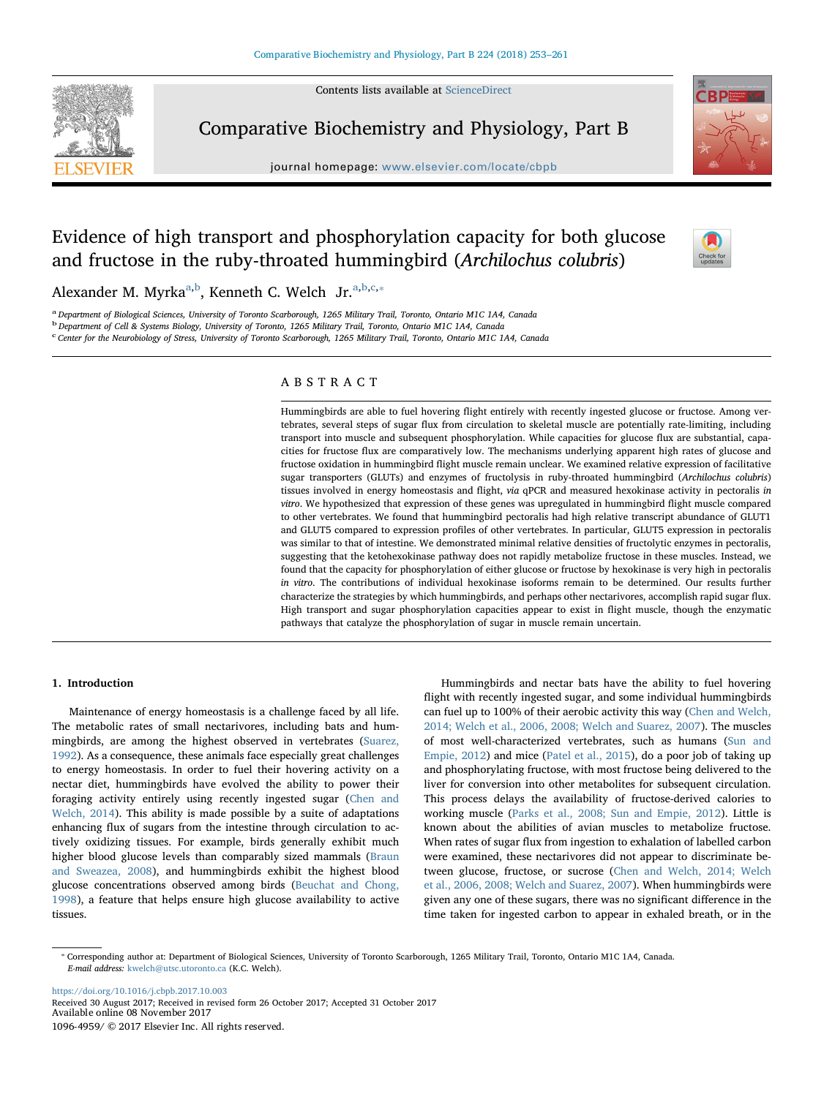Contents lists available at [ScienceDirect](http://www.sciencedirect.com/science/journal/10964959)



Comparative Biochemistry and Physiology, Part B

journal homepage: [www.elsevier.com/locate/cbpb](https://www.elsevier.com/locate/cbpb)



# Evidence of high transport and phosphorylation capacity for both glucose and fructose in the ruby-throated hummingbird (Archilochus colubris)



Alex[a](#page-0-0)nder M. Myrka<sup>a,[b](#page-0-1)</sup>, Kenneth C. Welch Jr.<sup>a[,b,](#page-0-1)[c,](#page-0-2)\*</sup>

<span id="page-0-0"></span>a Department of Biological Sciences, University of Toronto Scarborough, 1265 Military Trail, Toronto, Ontario M1C 1A4, Canada

<span id="page-0-1"></span><sup>b</sup> Department of Cell & Systems Biology, University of Toronto, 1265 Military Trail, Toronto, Ontario M1C 1A4, Canada

<span id="page-0-2"></span><sup>c</sup> Center for the Neurobiology of Stress, University of Toronto Scarborough, 1265 Military Trail, Toronto, Ontario M1C 1A4, Canada

# ABSTRACT

Hummingbirds are able to fuel hovering flight entirely with recently ingested glucose or fructose. Among vertebrates, several steps of sugar flux from circulation to skeletal muscle are potentially rate-limiting, including transport into muscle and subsequent phosphorylation. While capacities for glucose flux are substantial, capacities for fructose flux are comparatively low. The mechanisms underlying apparent high rates of glucose and fructose oxidation in hummingbird flight muscle remain unclear. We examined relative expression of facilitative sugar transporters (GLUTs) and enzymes of fructolysis in ruby-throated hummingbird (Archilochus colubris) tissues involved in energy homeostasis and flight, via qPCR and measured hexokinase activity in pectoralis in vitro. We hypothesized that expression of these genes was upregulated in hummingbird flight muscle compared to other vertebrates. We found that hummingbird pectoralis had high relative transcript abundance of GLUT1 and GLUT5 compared to expression profiles of other vertebrates. In particular, GLUT5 expression in pectoralis was similar to that of intestine. We demonstrated minimal relative densities of fructolytic enzymes in pectoralis, suggesting that the ketohexokinase pathway does not rapidly metabolize fructose in these muscles. Instead, we found that the capacity for phosphorylation of either glucose or fructose by hexokinase is very high in pectoralis in vitro. The contributions of individual hexokinase isoforms remain to be determined. Our results further characterize the strategies by which hummingbirds, and perhaps other nectarivores, accomplish rapid sugar flux. High transport and sugar phosphorylation capacities appear to exist in flight muscle, though the enzymatic pathways that catalyze the phosphorylation of sugar in muscle remain uncertain.

# 1. Introduction

Maintenance of energy homeostasis is a challenge faced by all life. The metabolic rates of small nectarivores, including bats and hummingbirds, are among the highest observed in vertebrates ([Suarez,](#page-8-0) [1992\)](#page-8-0). As a consequence, these animals face especially great challenges to energy homeostasis. In order to fuel their hovering activity on a nectar diet, hummingbirds have evolved the ability to power their foraging activity entirely using recently ingested sugar ([Chen and](#page-7-0) [Welch, 2014\)](#page-7-0). This ability is made possible by a suite of adaptations enhancing flux of sugars from the intestine through circulation to actively oxidizing tissues. For example, birds generally exhibit much higher blood glucose levels than comparably sized mammals ([Braun](#page-7-1) [and Sweazea, 2008](#page-7-1)), and hummingbirds exhibit the highest blood glucose concentrations observed among birds ([Beuchat and Chong,](#page-7-2) [1998\)](#page-7-2), a feature that helps ensure high glucose availability to active tissues.

Hummingbirds and nectar bats have the ability to fuel hovering flight with recently ingested sugar, and some individual hummingbirds can fuel up to 100% of their aerobic activity this way [\(Chen and Welch,](#page-7-0) [2014; Welch et al., 2006, 2008; Welch and Suarez, 2007\)](#page-7-0). The muscles of most well-characterized vertebrates, such as humans [\(Sun and](#page-8-1) [Empie, 2012\)](#page-8-1) and mice [\(Patel et al., 2015](#page-7-3)), do a poor job of taking up and phosphorylating fructose, with most fructose being delivered to the liver for conversion into other metabolites for subsequent circulation. This process delays the availability of fructose-derived calories to working muscle [\(Parks et al., 2008; Sun and Empie, 2012](#page-7-4)). Little is known about the abilities of avian muscles to metabolize fructose. When rates of sugar flux from ingestion to exhalation of labelled carbon were examined, these nectarivores did not appear to discriminate between glucose, fructose, or sucrose ([Chen and Welch, 2014; Welch](#page-7-0) [et al., 2006, 2008; Welch and Suarez, 2007](#page-7-0)). When hummingbirds were given any one of these sugars, there was no significant difference in the time taken for ingested carbon to appear in exhaled breath, or in the

<https://doi.org/10.1016/j.cbpb.2017.10.003> Received 30 August 2017; Received in revised form 26 October 2017; Accepted 31 October 2017 Available online 08 November 2017 1096-4959/ © 2017 Elsevier Inc. All rights reserved.

<span id="page-0-3"></span><sup>⁎</sup> Corresponding author at: Department of Biological Sciences, University of Toronto Scarborough, 1265 Military Trail, Toronto, Ontario M1C 1A4, Canada. E-mail address: [kwelch@utsc.utoronto.ca](mailto:kwelch@utsc.utoronto.ca) (K.C. Welch).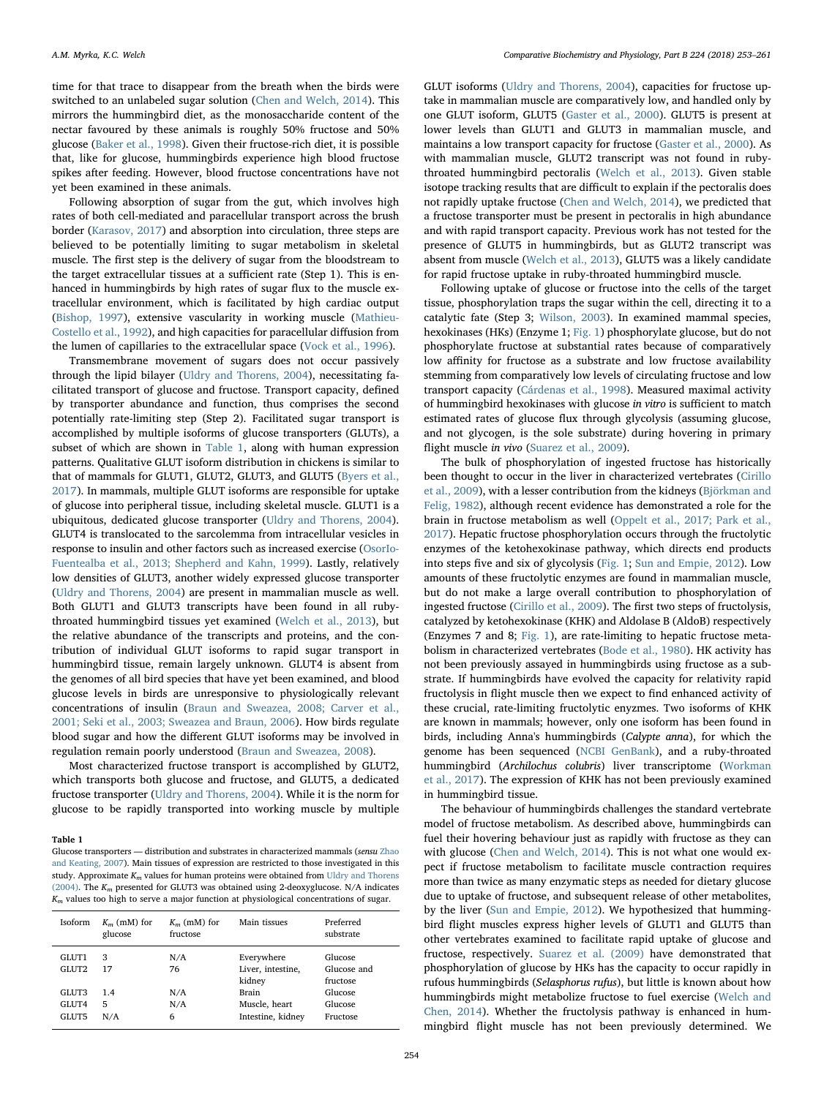time for that trace to disappear from the breath when the birds were switched to an unlabeled sugar solution ([Chen and Welch, 2014\)](#page-7-0). This mirrors the hummingbird diet, as the monosaccharide content of the nectar favoured by these animals is roughly 50% fructose and 50% glucose [\(Baker et al., 1998](#page-7-5)). Given their fructose-rich diet, it is possible that, like for glucose, hummingbirds experience high blood fructose spikes after feeding. However, blood fructose concentrations have not yet been examined in these animals.

Following absorption of sugar from the gut, which involves high rates of both cell-mediated and paracellular transport across the brush border [\(Karasov, 2017](#page-7-6)) and absorption into circulation, three steps are believed to be potentially limiting to sugar metabolism in skeletal muscle. The first step is the delivery of sugar from the bloodstream to the target extracellular tissues at a sufficient rate (Step 1). This is enhanced in hummingbirds by high rates of sugar flux to the muscle extracellular environment, which is facilitated by high cardiac output ([Bishop, 1997](#page-7-7)), extensive vascularity in working muscle ([Mathieu-](#page-7-8)[Costello et al., 1992\)](#page-7-8), and high capacities for paracellular diffusion from the lumen of capillaries to the extracellular space ([Vock et al., 1996\)](#page-8-2).

Transmembrane movement of sugars does not occur passively through the lipid bilayer [\(Uldry and Thorens, 2004\)](#page-8-3), necessitating facilitated transport of glucose and fructose. Transport capacity, defined by transporter abundance and function, thus comprises the second potentially rate-limiting step (Step 2). Facilitated sugar transport is accomplished by multiple isoforms of glucose transporters (GLUTs), a subset of which are shown in [Table 1](#page-1-0), along with human expression patterns. Qualitative GLUT isoform distribution in chickens is similar to that of mammals for GLUT1, GLUT2, GLUT3, and GLUT5 ([Byers et al.,](#page-7-9) [2017\)](#page-7-9). In mammals, multiple GLUT isoforms are responsible for uptake of glucose into peripheral tissue, including skeletal muscle. GLUT1 is a ubiquitous, dedicated glucose transporter [\(Uldry and Thorens, 2004](#page-8-3)). GLUT4 is translocated to the sarcolemma from intracellular vesicles in response to insulin and other factors such as increased exercise ([OsorIo-](#page-7-10)[Fuentealba et al., 2013; Shepherd and Kahn, 1999\)](#page-7-10). Lastly, relatively low densities of GLUT3, another widely expressed glucose transporter ([Uldry and Thorens, 2004\)](#page-8-3) are present in mammalian muscle as well. Both GLUT1 and GLUT3 transcripts have been found in all rubythroated hummingbird tissues yet examined [\(Welch et al., 2013\)](#page-8-4), but the relative abundance of the transcripts and proteins, and the contribution of individual GLUT isoforms to rapid sugar transport in hummingbird tissue, remain largely unknown. GLUT4 is absent from the genomes of all bird species that have yet been examined, and blood glucose levels in birds are unresponsive to physiologically relevant concentrations of insulin ([Braun and Sweazea, 2008; Carver et al.,](#page-7-1) [2001; Seki et al., 2003; Sweazea and Braun, 2006](#page-7-1)). How birds regulate blood sugar and how the different GLUT isoforms may be involved in regulation remain poorly understood ([Braun and Sweazea, 2008\)](#page-7-1).

Most characterized fructose transport is accomplished by GLUT2, which transports both glucose and fructose, and GLUT5, a dedicated fructose transporter [\(Uldry and Thorens, 2004\)](#page-8-3). While it is the norm for glucose to be rapidly transported into working muscle by multiple

#### <span id="page-1-0"></span>Table 1

Glucose transporters — distribution and substrates in characterized mammals (sensu [Zhao](#page-8-9) [and Keating, 2007\)](#page-8-9). Main tissues of expression are restricted to those investigated in this study. Approximate  $K_m$  values for human proteins were obtained from [Uldry and Thorens](#page-8-3) [\(2004\).](#page-8-3) The  $K_m$  presented for GLUT3 was obtained using 2-deoxyglucose. N/A indicates  $K_m$  values too high to serve a major function at physiological concentrations of sugar.

| Isoform | $K_m$ (mM) for<br>glucose | $K_m$ (mM) for<br>fructose | Main tissues      | Preferred<br>substrate |
|---------|---------------------------|----------------------------|-------------------|------------------------|
| GLUT1   | 3                         | N/A                        | Everywhere        | Glucose                |
| GLUT2   | 17                        | 76                         | Liver, intestine, | Glucose and            |
|         |                           |                            | kidney            | fructose               |
| GLUT3   | 1.4                       | N/A                        | <b>Brain</b>      | Glucose                |
| GLUT4   | 5                         | N/A                        | Muscle, heart     | Glucose                |
| GLUT5   | N/A                       | 6                          | Intestine, kidney | Fructose               |

GLUT isoforms ([Uldry and Thorens, 2004](#page-8-3)), capacities for fructose uptake in mammalian muscle are comparatively low, and handled only by one GLUT isoform, GLUT5 [\(Gaster et al., 2000\)](#page-7-11). GLUT5 is present at lower levels than GLUT1 and GLUT3 in mammalian muscle, and maintains a low transport capacity for fructose ([Gaster et al., 2000\)](#page-7-11). As with mammalian muscle, GLUT2 transcript was not found in rubythroated hummingbird pectoralis ([Welch et al., 2013](#page-8-4)). Given stable isotope tracking results that are difficult to explain if the pectoralis does not rapidly uptake fructose ([Chen and Welch, 2014\)](#page-7-0), we predicted that a fructose transporter must be present in pectoralis in high abundance and with rapid transport capacity. Previous work has not tested for the presence of GLUT5 in hummingbirds, but as GLUT2 transcript was absent from muscle ([Welch et al., 2013\)](#page-8-4), GLUT5 was a likely candidate for rapid fructose uptake in ruby-throated hummingbird muscle.

Following uptake of glucose or fructose into the cells of the target tissue, phosphorylation traps the sugar within the cell, directing it to a catalytic fate (Step 3; [Wilson, 2003](#page-8-5)). In examined mammal species, hexokinases (HKs) (Enzyme 1; [Fig. 1](#page-2-0)) phosphorylate glucose, but do not phosphorylate fructose at substantial rates because of comparatively low affinity for fructose as a substrate and low fructose availability stemming from comparatively low levels of circulating fructose and low transport capacity ([Cárdenas et al., 1998\)](#page-7-12). Measured maximal activity of hummingbird hexokinases with glucose in vitro is sufficient to match estimated rates of glucose flux through glycolysis (assuming glucose, and not glycogen, is the sole substrate) during hovering in primary flight muscle in vivo [\(Suarez et al., 2009](#page-8-6)).

The bulk of phosphorylation of ingested fructose has historically been thought to occur in the liver in characterized vertebrates ([Cirillo](#page-7-13) [et al., 2009\)](#page-7-13), with a lesser contribution from the kidneys [\(Björkman and](#page-7-14) [Felig, 1982\)](#page-7-14), although recent evidence has demonstrated a role for the brain in fructose metabolism as well [\(Oppelt et al., 2017; Park et al.,](#page-7-15) [2017\)](#page-7-15). Hepatic fructose phosphorylation occurs through the fructolytic enzymes of the ketohexokinase pathway, which directs end products into steps five and six of glycolysis ([Fig. 1;](#page-2-0) [Sun and Empie, 2012](#page-8-1)). Low amounts of these fructolytic enzymes are found in mammalian muscle, but do not make a large overall contribution to phosphorylation of ingested fructose [\(Cirillo et al., 2009\)](#page-7-13). The first two steps of fructolysis, catalyzed by ketohexokinase (KHK) and Aldolase B (AldoB) respectively (Enzymes 7 and 8; [Fig. 1\)](#page-2-0), are rate-limiting to hepatic fructose metabolism in characterized vertebrates [\(Bode et al., 1980](#page-7-16)). HK activity has not been previously assayed in hummingbirds using fructose as a substrate. If hummingbirds have evolved the capacity for relativity rapid fructolysis in flight muscle then we expect to find enhanced activity of these crucial, rate-limiting fructolytic enyzmes. Two isoforms of KHK are known in mammals; however, only one isoform has been found in birds, including Anna's hummingbirds (Calypte anna), for which the genome has been sequenced ([NCBI GenBank\)](#page-7-17), and a ruby-throated hummingbird (Archilochus colubris) liver transcriptome [\(Workman](#page-8-7) [et al., 2017\)](#page-8-7). The expression of KHK has not been previously examined in hummingbird tissue.

The behaviour of hummingbirds challenges the standard vertebrate model of fructose metabolism. As described above, hummingbirds can fuel their hovering behaviour just as rapidly with fructose as they can with glucose [\(Chen and Welch, 2014\)](#page-7-0). This is not what one would expect if fructose metabolism to facilitate muscle contraction requires more than twice as many enzymatic steps as needed for dietary glucose due to uptake of fructose, and subsequent release of other metabolites, by the liver ([Sun and Empie, 2012](#page-8-1)). We hypothesized that hummingbird flight muscles express higher levels of GLUT1 and GLUT5 than other vertebrates examined to facilitate rapid uptake of glucose and fructose, respectively. [Suarez et al. \(2009\)](#page-8-6) have demonstrated that phosphorylation of glucose by HKs has the capacity to occur rapidly in rufous hummingbirds (Selasphorus rufus), but little is known about how hummingbirds might metabolize fructose to fuel exercise [\(Welch and](#page-8-8) [Chen, 2014\)](#page-8-8). Whether the fructolysis pathway is enhanced in hummingbird flight muscle has not been previously determined. We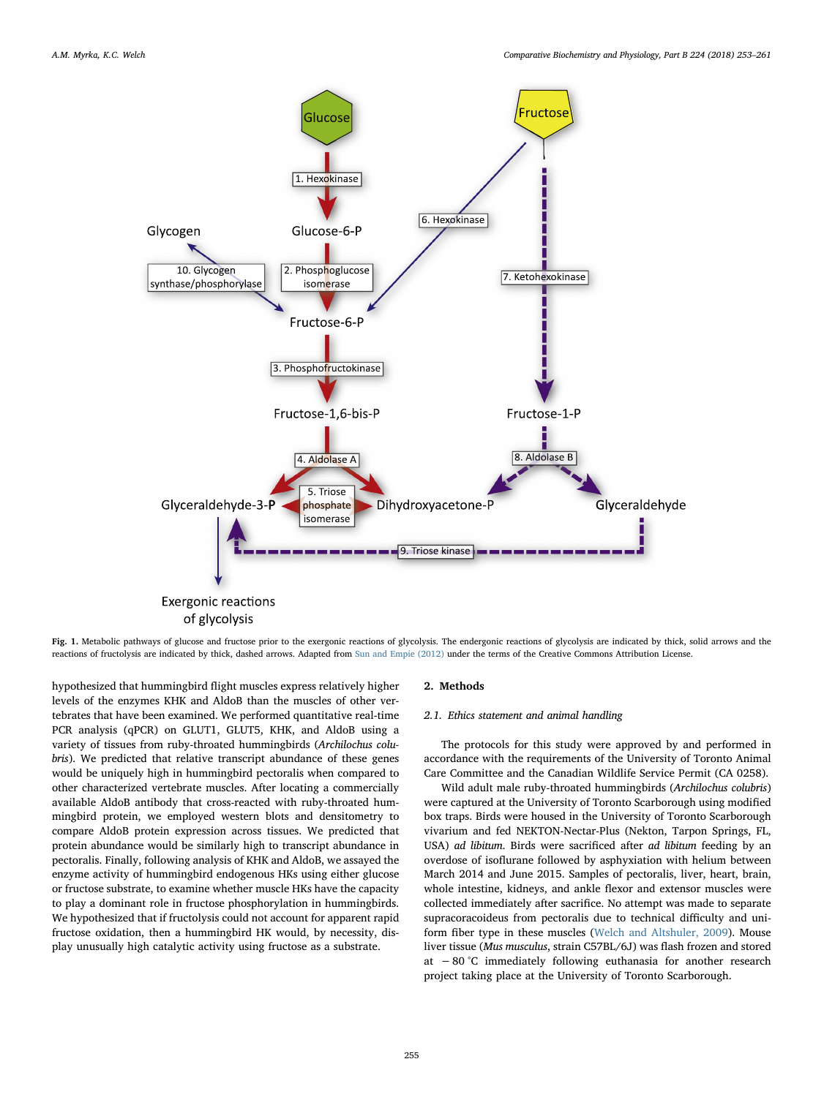<span id="page-2-0"></span>

Fig. 1. Metabolic pathways of glucose and fructose prior to the exergonic reactions of glycolysis. The endergonic reactions of glycolysis are indicated by thick, solid arrows and the reactions of fructolysis are indicated by thick, dashed arrows. Adapted from [Sun and Empie \(2012\)](#page-8-1) under the terms of the Creative Commons Attribution License.

hypothesized that hummingbird flight muscles express relatively higher levels of the enzymes KHK and AldoB than the muscles of other vertebrates that have been examined. We performed quantitative real-time PCR analysis (qPCR) on GLUT1, GLUT5, KHK, and AldoB using a variety of tissues from ruby-throated hummingbirds (Archilochus colubris). We predicted that relative transcript abundance of these genes would be uniquely high in hummingbird pectoralis when compared to other characterized vertebrate muscles. After locating a commercially available AldoB antibody that cross-reacted with ruby-throated hummingbird protein, we employed western blots and densitometry to compare AldoB protein expression across tissues. We predicted that protein abundance would be similarly high to transcript abundance in pectoralis. Finally, following analysis of KHK and AldoB, we assayed the enzyme activity of hummingbird endogenous HKs using either glucose or fructose substrate, to examine whether muscle HKs have the capacity to play a dominant role in fructose phosphorylation in hummingbirds. We hypothesized that if fructolysis could not account for apparent rapid fructose oxidation, then a hummingbird HK would, by necessity, display unusually high catalytic activity using fructose as a substrate.

# 2. Methods

#### 2.1. Ethics statement and animal handling

The protocols for this study were approved by and performed in accordance with the requirements of the University of Toronto Animal Care Committee and the Canadian Wildlife Service Permit (CA 0258).

Wild adult male ruby-throated hummingbirds (Archilochus colubris) were captured at the University of Toronto Scarborough using modified box traps. Birds were housed in the University of Toronto Scarborough vivarium and fed NEKTON-Nectar-Plus (Nekton, Tarpon Springs, FL, USA) ad libitum. Birds were sacrificed after ad libitum feeding by an overdose of isoflurane followed by asphyxiation with helium between March 2014 and June 2015. Samples of pectoralis, liver, heart, brain, whole intestine, kidneys, and ankle flexor and extensor muscles were collected immediately after sacrifice. No attempt was made to separate supracoracoideus from pectoralis due to technical difficulty and uniform fiber type in these muscles ([Welch and Altshuler, 2009](#page-8-10)). Mouse liver tissue (Mus musculus, strain C57BL/6J) was flash frozen and stored at −80 °C immediately following euthanasia for another research project taking place at the University of Toronto Scarborough.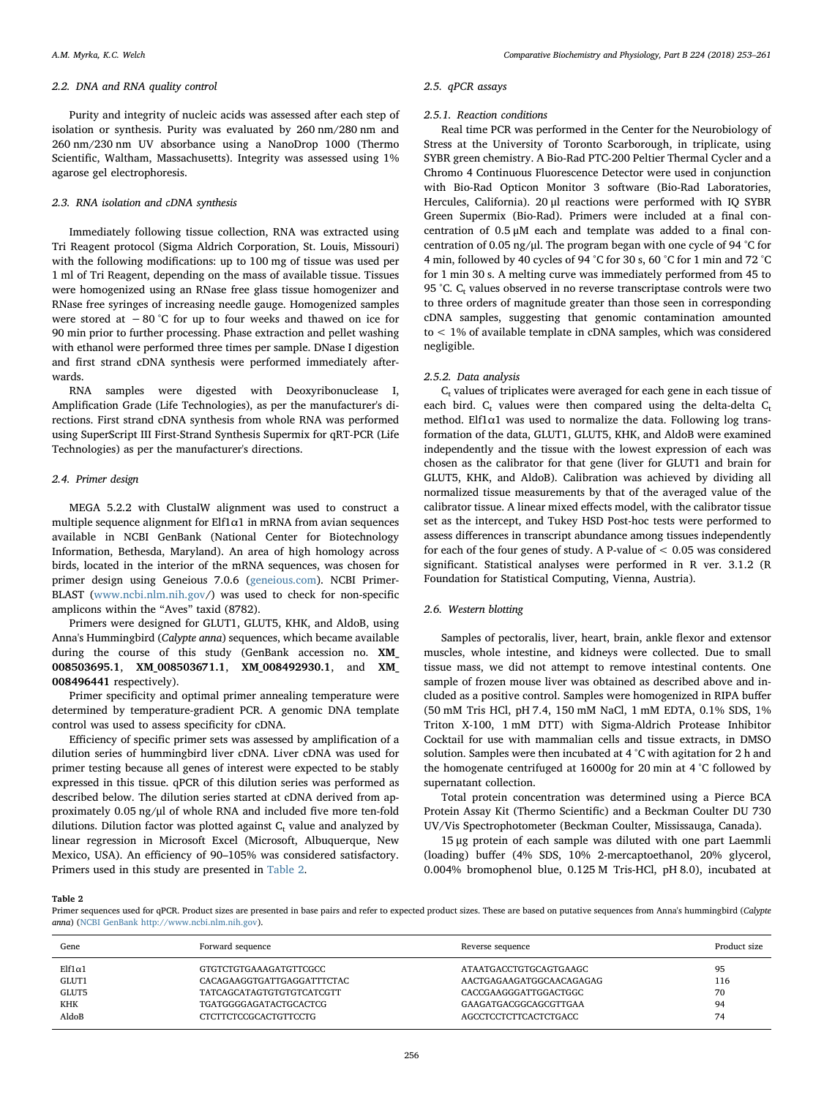#### 2.2. DNA and RNA quality control

Purity and integrity of nucleic acids was assessed after each step of isolation or synthesis. Purity was evaluated by 260 nm/280 nm and 260 nm/230 nm UV absorbance using a NanoDrop 1000 (Thermo Scientific, Waltham, Massachusetts). Integrity was assessed using 1% agarose gel electrophoresis.

#### 2.3. RNA isolation and cDNA synthesis

Immediately following tissue collection, RNA was extracted using Tri Reagent protocol (Sigma Aldrich Corporation, St. Louis, Missouri) with the following modifications: up to 100 mg of tissue was used per 1 ml of Tri Reagent, depending on the mass of available tissue. Tissues were homogenized using an RNase free glass tissue homogenizer and RNase free syringes of increasing needle gauge. Homogenized samples were stored at  $-80$  °C for up to four weeks and thawed on ice for 90 min prior to further processing. Phase extraction and pellet washing with ethanol were performed three times per sample. DNase I digestion and first strand cDNA synthesis were performed immediately afterwards.

RNA samples were digested with Deoxyribonuclease I, Amplification Grade (Life Technologies), as per the manufacturer's directions. First strand cDNA synthesis from whole RNA was performed using SuperScript III First-Strand Synthesis Supermix for qRT-PCR (Life Technologies) as per the manufacturer's directions.

# 2.4. Primer design

MEGA 5.2.2 with ClustalW alignment was used to construct a multiple sequence alignment for Elf1 $\alpha$ 1 in mRNA from avian sequences available in NCBI GenBank (National Center for Biotechnology Information, Bethesda, Maryland). An area of high homology across birds, located in the interior of the mRNA sequences, was chosen for primer design using Geneious 7.0.6 ([geneious.com\)](http://geneious.com). NCBI Primer-BLAST ([www.ncbi.nlm.nih.gov/](http://www.ncbi.nlm.nih.gov)) was used to check for non-specific amplicons within the "Aves" taxid (8782).

Primers were designed for GLUT1, GLUT5, KHK, and AldoB, using Anna's Hummingbird (Calypte anna) sequences, which became available during the course of this study (GenBank accession no. XM\_ 008503695.1, XM\_008503671.1, XM\_008492930.1, and XM\_ 008496441 respectively).

Primer specificity and optimal primer annealing temperature were determined by temperature-gradient PCR. A genomic DNA template control was used to assess specificity for cDNA.

Efficiency of specific primer sets was assessed by amplification of a dilution series of hummingbird liver cDNA. Liver cDNA was used for primer testing because all genes of interest were expected to be stably expressed in this tissue. qPCR of this dilution series was performed as described below. The dilution series started at cDNA derived from approximately 0.05 ng/μl of whole RNA and included five more ten-fold dilutions. Dilution factor was plotted against  $C_t$  value and analyzed by linear regression in Microsoft Excel (Microsoft, Albuquerque, New Mexico, USA). An efficiency of 90–105% was considered satisfactory. Primers used in this study are presented in [Table 2.](#page-3-0)

# 2.5. qPCR assays

#### 2.5.1. Reaction conditions

Real time PCR was performed in the Center for the Neurobiology of Stress at the University of Toronto Scarborough, in triplicate, using SYBR green chemistry. A Bio-Rad PTC-200 Peltier Thermal Cycler and a Chromo 4 Continuous Fluorescence Detector were used in conjunction with Bio-Rad Opticon Monitor 3 software (Bio-Rad Laboratories, Hercules, California). 20 μl reactions were performed with IQ SYBR Green Supermix (Bio-Rad). Primers were included at a final concentration of 0.5 μM each and template was added to a final concentration of 0.05 ng/μl. The program began with one cycle of 94 °C for 4 min, followed by 40 cycles of 94 °C for 30 s, 60 °C for 1 min and 72 °C for 1 min 30 s. A melting curve was immediately performed from 45 to 95 °C.  $C_t$  values observed in no reverse transcriptase controls were two to three orders of magnitude greater than those seen in corresponding cDNA samples, suggesting that genomic contamination amounted to < 1% of available template in cDNA samples, which was considered negligible.

#### 2.5.2. Data analysis

 $C<sub>t</sub>$  values of triplicates were averaged for each gene in each tissue of each bird.  $C_t$  values were then compared using the delta-delta  $C_t$ method. Elf1 $\alpha$ 1 was used to normalize the data. Following log transformation of the data, GLUT1, GLUT5, KHK, and AldoB were examined independently and the tissue with the lowest expression of each was chosen as the calibrator for that gene (liver for GLUT1 and brain for GLUT5, KHK, and AldoB). Calibration was achieved by dividing all normalized tissue measurements by that of the averaged value of the calibrator tissue. A linear mixed effects model, with the calibrator tissue set as the intercept, and Tukey HSD Post-hoc tests were performed to assess differences in transcript abundance among tissues independently for each of the four genes of study. A P-value of < 0.05 was considered significant. Statistical analyses were performed in R ver. 3.1.2 (R Foundation for Statistical Computing, Vienna, Austria).

### 2.6. Western blotting

Samples of pectoralis, liver, heart, brain, ankle flexor and extensor muscles, whole intestine, and kidneys were collected. Due to small tissue mass, we did not attempt to remove intestinal contents. One sample of frozen mouse liver was obtained as described above and included as a positive control. Samples were homogenized in RIPA buffer (50 mM Tris HCl, pH 7.4, 150 mM NaCl, 1 mM EDTA, 0.1% SDS, 1% Triton X-100, 1 mM DTT) with Sigma-Aldrich Protease Inhibitor Cocktail for use with mammalian cells and tissue extracts, in DMSO solution. Samples were then incubated at 4 °C with agitation for 2 h and the homogenate centrifuged at 16000g for 20 min at 4 °C followed by supernatant collection.

Total protein concentration was determined using a Pierce BCA Protein Assay Kit (Thermo Scientific) and a Beckman Coulter DU 730 UV/Vis Spectrophotometer (Beckman Coulter, Mississauga, Canada).

15 μg protein of each sample was diluted with one part Laemmli (loading) buffer (4% SDS, 10% 2-mercaptoethanol, 20% glycerol, 0.004% bromophenol blue, 0.125 M Tris-HCl, pH 8.0), incubated at

#### <span id="page-3-0"></span>Table 2

Primer sequences used for qPCR. Product sizes are presented in base pairs and refer to expected product sizes. These are based on putative sequences from Anna's hummingbird (Calypte anna) ([NCBI GenBank](#page-7-17)<http://www.ncbi.nlm.nih.gov>).

| Gene               | Forward sequence                 | Reverse sequence         | Product size |
|--------------------|----------------------------------|--------------------------|--------------|
| $E$ lf1 $\alpha$ 1 | GTGTCTGTGAAAGATGTTCGCC           | ATAATGACCTGTGCAGTGAAGC   | 95           |
| GLUT1              | CACAGAAGGTGATTGAGGATTTCTAC       | AACTGAGAAGATGGCAACAGAGAG | 116          |
| GLUT5              | <b>TATCAGCATAGTGTGTGTCATCGTT</b> | CACCGAAGGGATTGGACTGGC    | 70           |
| KHK                | TGATGGGGAGATACTGCACTCG           | GAAGATGACGGCAGCGTTGAA    | 94           |
| AldoB              | CTCTTCTCCGCACTGTTCCTG            | AGCCTCCTCTTCACTCTGACC    | 74           |
|                    |                                  |                          |              |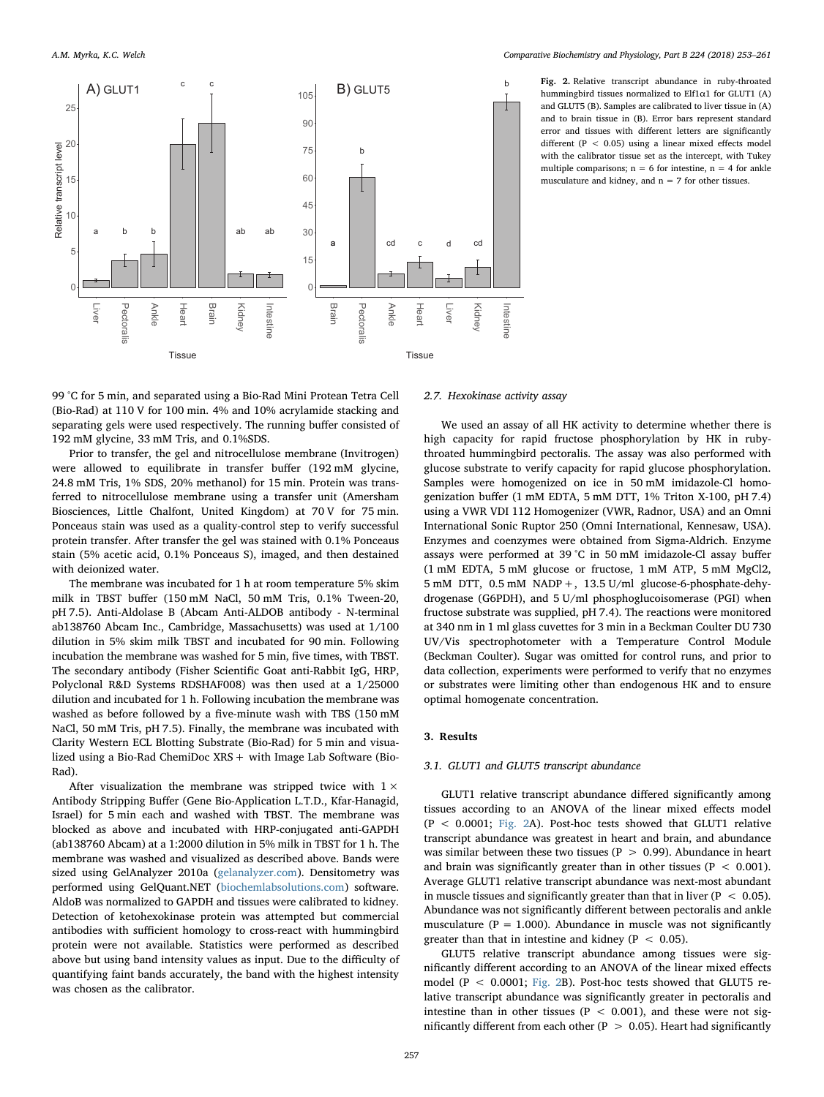<span id="page-4-0"></span>

b Fig. 2. Relative transcript abundance in ruby-throated hummingbird tissues normalized to Elf1α1 for GLUT1 (A) and GLUT5 (B). Samples are calibrated to liver tissue in (A) and to brain tissue in (B). Error bars represent standard error and tissues with different letters are significantly different (P < 0.05) using a linear mixed effects model with the calibrator tissue set as the intercept, with Tukey multiple comparisons;  $n = 6$  for intestine,  $n = 4$  for ankle musculature and kidney, and  $n = 7$  for other tissues.

99 °C for 5 min, and separated using a Bio-Rad Mini Protean Tetra Cell (Bio-Rad) at 110 V for 100 min. 4% and 10% acrylamide stacking and separating gels were used respectively. The running buffer consisted of 192 mM glycine, 33 mM Tris, and 0.1%SDS.

Prior to transfer, the gel and nitrocellulose membrane (Invitrogen) were allowed to equilibrate in transfer buffer (192 mM glycine, 24.8 mM Tris, 1% SDS, 20% methanol) for 15 min. Protein was transferred to nitrocellulose membrane using a transfer unit (Amersham Biosciences, Little Chalfont, United Kingdom) at 70 V for 75 min. Ponceaus stain was used as a quality-control step to verify successful protein transfer. After transfer the gel was stained with 0.1% Ponceaus stain (5% acetic acid, 0.1% Ponceaus S), imaged, and then destained with deionized water.

The membrane was incubated for 1 h at room temperature 5% skim milk in TBST buffer (150 mM NaCl, 50 mM Tris, 0.1% Tween-20, pH 7.5). Anti-Aldolase B (Abcam Anti-ALDOB antibody - N-terminal ab138760 Abcam Inc., Cambridge, Massachusetts) was used at 1/100 dilution in 5% skim milk TBST and incubated for 90 min. Following incubation the membrane was washed for 5 min, five times, with TBST. The secondary antibody (Fisher Scientific Goat anti-Rabbit IgG, HRP, Polyclonal R&D Systems RDSHAF008) was then used at a 1/25000 dilution and incubated for 1 h. Following incubation the membrane was washed as before followed by a five-minute wash with TBS (150 mM NaCl, 50 mM Tris, pH 7.5). Finally, the membrane was incubated with Clarity Western ECL Blotting Substrate (Bio-Rad) for 5 min and visualized using a Bio-Rad ChemiDoc  $XRS +$  with Image Lab Software (Bio-Rad).

After visualization the membrane was stripped twice with  $1 \times$ Antibody Stripping Buffer (Gene Bio-Application L.T.D., Kfar-Hanagid, Israel) for 5 min each and washed with TBST. The membrane was blocked as above and incubated with HRP-conjugated anti-GAPDH (ab138760 Abcam) at a 1:2000 dilution in 5% milk in TBST for 1 h. The membrane was washed and visualized as described above. Bands were sized using GelAnalyzer 2010a [\(gelanalyzer.com\)](http://gelanalyzer.com). Densitometry was performed using GelQuant.NET ([biochemlabsolutions.com](http://biochemlabsolutions.com)) software. AldoB was normalized to GAPDH and tissues were calibrated to kidney. Detection of ketohexokinase protein was attempted but commercial antibodies with sufficient homology to cross-react with hummingbird protein were not available. Statistics were performed as described above but using band intensity values as input. Due to the difficulty of quantifying faint bands accurately, the band with the highest intensity was chosen as the calibrator.

# 2.7. Hexokinase activity assay

We used an assay of all HK activity to determine whether there is high capacity for rapid fructose phosphorylation by HK in rubythroated hummingbird pectoralis. The assay was also performed with glucose substrate to verify capacity for rapid glucose phosphorylation. Samples were homogenized on ice in 50 mM imidazole-Cl homogenization buffer (1 mM EDTA, 5 mM DTT, 1% Triton X-100, pH 7.4) using a VWR VDI 112 Homogenizer (VWR, Radnor, USA) and an Omni International Sonic Ruptor 250 (Omni International, Kennesaw, USA). Enzymes and coenzymes were obtained from Sigma-Aldrich. Enzyme assays were performed at 39 °C in 50 mM imidazole-Cl assay buffer (1 mM EDTA, 5 mM glucose or fructose, 1 mM ATP, 5 mM MgCl2, 5 mM DTT, 0.5 mM NADP+, 13.5 U/ml glucose-6-phosphate-dehydrogenase (G6PDH), and 5 U/ml phosphoglucoisomerase (PGI) when fructose substrate was supplied, pH 7.4). The reactions were monitored at 340 nm in 1 ml glass cuvettes for 3 min in a Beckman Coulter DU 730 UV/Vis spectrophotometer with a Temperature Control Module (Beckman Coulter). Sugar was omitted for control runs, and prior to data collection, experiments were performed to verify that no enzymes or substrates were limiting other than endogenous HK and to ensure optimal homogenate concentration.

### 3. Results

#### 3.1. GLUT1 and GLUT5 transcript abundance

GLUT1 relative transcript abundance differed significantly among tissues according to an ANOVA of the linear mixed effects model (P < 0.0001; [Fig. 2A](#page-4-0)). Post-hoc tests showed that GLUT1 relative transcript abundance was greatest in heart and brain, and abundance was similar between these two tissues ( $P > 0.99$ ). Abundance in heart and brain was significantly greater than in other tissues ( $P < 0.001$ ). Average GLUT1 relative transcript abundance was next-most abundant in muscle tissues and significantly greater than that in liver ( $P < 0.05$ ). Abundance was not significantly different between pectoralis and ankle musculature ( $P = 1.000$ ). Abundance in muscle was not significantly greater than that in intestine and kidney ( $P < 0.05$ ).

GLUT5 relative transcript abundance among tissues were significantly different according to an ANOVA of the linear mixed effects model ( $P < 0.0001$ ; [Fig. 2](#page-4-0)B). Post-hoc tests showed that GLUT5 relative transcript abundance was significantly greater in pectoralis and intestine than in other tissues ( $P < 0.001$ ), and these were not significantly different from each other ( $P > 0.05$ ). Heart had significantly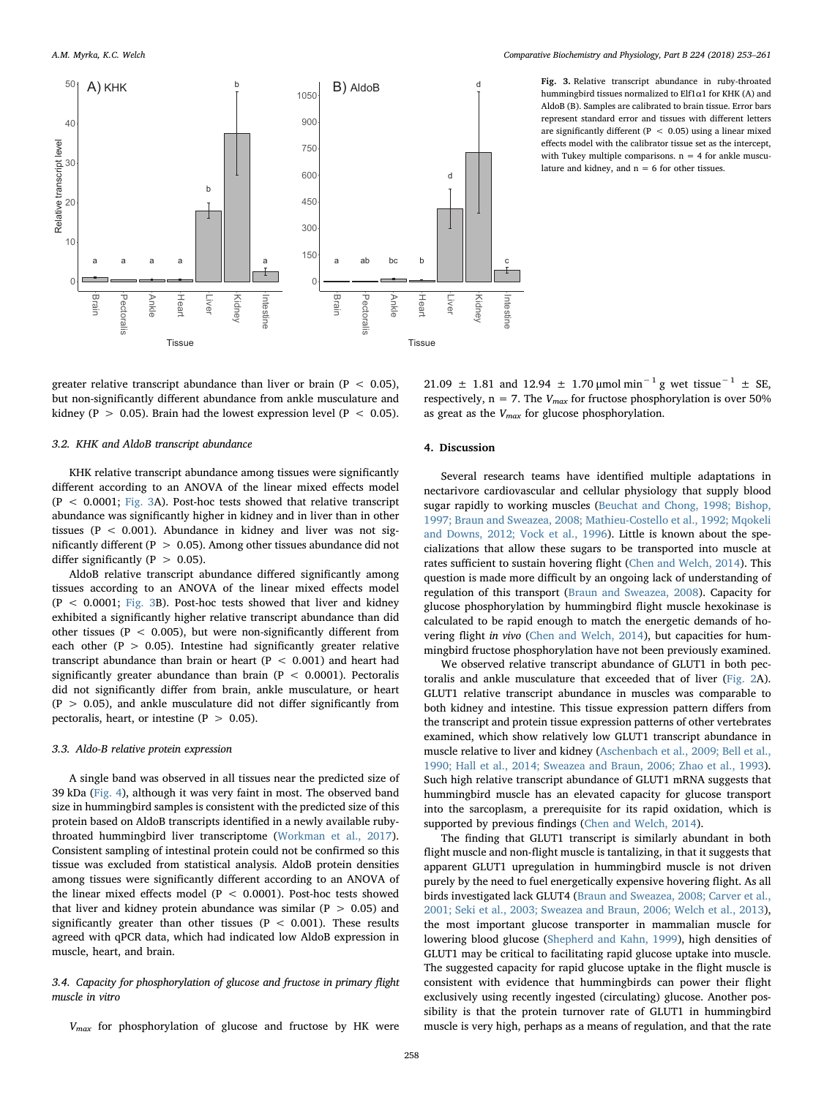<span id="page-5-0"></span>

d Fig. 3. Relative transcript abundance in ruby-throated hummingbird tissues normalized to Elf1α1 for KHK (A) and AldoB (B). Samples are calibrated to brain tissue. Error bars represent standard error and tissues with different letters are significantly different (P  $\leq$  0.05) using a linear mixed effects model with the calibrator tissue set as the intercept, with Tukey multiple comparisons.  $n = 4$  for ankle musculature and kidney, and  $n = 6$  for other tissues.

greater relative transcript abundance than liver or brain ( $P < 0.05$ ), but non-significantly different abundance from ankle musculature and kidney (P  $> 0.05$ ). Brain had the lowest expression level (P  $< 0.05$ ).

# 3.2. KHK and AldoB transcript abundance

KHK relative transcript abundance among tissues were significantly different according to an ANOVA of the linear mixed effects model  $(P < 0.0001$ ; [Fig. 3](#page-5-0)A). Post-hoc tests showed that relative transcript abundance was significantly higher in kidney and in liver than in other tissues ( $P < 0.001$ ). Abundance in kidney and liver was not significantly different (P > 0.05). Among other tissues abundance did not differ significantly ( $P > 0.05$ ).

AldoB relative transcript abundance differed significantly among tissues according to an ANOVA of the linear mixed effects model  $(P < 0.0001$ ; [Fig. 3](#page-5-0)B). Post-hoc tests showed that liver and kidney exhibited a significantly higher relative transcript abundance than did other tissues ( $P < 0.005$ ), but were non-significantly different from each other ( $P > 0.05$ ). Intestine had significantly greater relative transcript abundance than brain or heart  $(P < 0.001)$  and heart had significantly greater abundance than brain ( $P < 0.0001$ ). Pectoralis did not significantly differ from brain, ankle musculature, or heart  $(P > 0.05)$ , and ankle musculature did not differ significantly from pectoralis, heart, or intestine ( $P > 0.05$ ).

#### 3.3. Aldo-B relative protein expression

A single band was observed in all tissues near the predicted size of 39 kDa ([Fig. 4](#page-6-0)), although it was very faint in most. The observed band size in hummingbird samples is consistent with the predicted size of this protein based on AldoB transcripts identified in a newly available rubythroated hummingbird liver transcriptome ([Workman et al., 2017](#page-8-7)). Consistent sampling of intestinal protein could not be confirmed so this tissue was excluded from statistical analysis. AldoB protein densities among tissues were significantly different according to an ANOVA of the linear mixed effects model ( $P < 0.0001$ ). Post-hoc tests showed that liver and kidney protein abundance was similar ( $P > 0.05$ ) and significantly greater than other tissues ( $P < 0.001$ ). These results agreed with qPCR data, which had indicated low AldoB expression in muscle, heart, and brain.

# 3.4. Capacity for phosphorylation of glucose and fructose in primary flight muscle in vitro

 $V_{max}$  for phosphorylation of glucose and fructose by HK were

21.09 ± 1.81 and 12.94 ± 1.70 µmol min<sup>-1</sup> g wet tissue<sup>-1</sup> ± SE, respectively,  $n = 7$ . The  $V_{max}$  for fructose phosphorylation is over 50% as great as the  $V_{max}$  for glucose phosphorylation.

#### 4. Discussion

Several research teams have identified multiple adaptations in nectarivore cardiovascular and cellular physiology that supply blood sugar rapidly to working muscles ([Beuchat and Chong, 1998; Bishop,](#page-7-2) [1997; Braun and Sweazea, 2008; Mathieu-Costello et al., 1992; Mqokeli](#page-7-2) [and Downs, 2012; Vock et al., 1996](#page-7-2)). Little is known about the specializations that allow these sugars to be transported into muscle at rates sufficient to sustain hovering flight ([Chen and Welch, 2014](#page-7-0)). This question is made more difficult by an ongoing lack of understanding of regulation of this transport ([Braun and Sweazea, 2008](#page-7-1)). Capacity for glucose phosphorylation by hummingbird flight muscle hexokinase is calculated to be rapid enough to match the energetic demands of hovering flight in vivo ([Chen and Welch, 2014](#page-7-0)), but capacities for hummingbird fructose phosphorylation have not been previously examined.

We observed relative transcript abundance of GLUT1 in both pectoralis and ankle musculature that exceeded that of liver ([Fig. 2](#page-4-0)A). GLUT1 relative transcript abundance in muscles was comparable to both kidney and intestine. This tissue expression pattern differs from the transcript and protein tissue expression patterns of other vertebrates examined, which show relatively low GLUT1 transcript abundance in muscle relative to liver and kidney ([Aschenbach et al., 2009; Bell et al.,](#page-7-18) [1990; Hall et al., 2014; Sweazea and Braun, 2006; Zhao et al., 1993](#page-7-18)). Such high relative transcript abundance of GLUT1 mRNA suggests that hummingbird muscle has an elevated capacity for glucose transport into the sarcoplasm, a prerequisite for its rapid oxidation, which is supported by previous findings ([Chen and Welch, 2014\)](#page-7-0).

The finding that GLUT1 transcript is similarly abundant in both flight muscle and non-flight muscle is tantalizing, in that it suggests that apparent GLUT1 upregulation in hummingbird muscle is not driven purely by the need to fuel energetically expensive hovering flight. As all birds investigated lack GLUT4 [\(Braun and Sweazea, 2008; Carver et al.,](#page-7-1) [2001; Seki et al., 2003; Sweazea and Braun, 2006; Welch et al., 2013](#page-7-1)), the most important glucose transporter in mammalian muscle for lowering blood glucose ([Shepherd and Kahn, 1999\)](#page-8-11), high densities of GLUT1 may be critical to facilitating rapid glucose uptake into muscle. The suggested capacity for rapid glucose uptake in the flight muscle is consistent with evidence that hummingbirds can power their flight exclusively using recently ingested (circulating) glucose. Another possibility is that the protein turnover rate of GLUT1 in hummingbird muscle is very high, perhaps as a means of regulation, and that the rate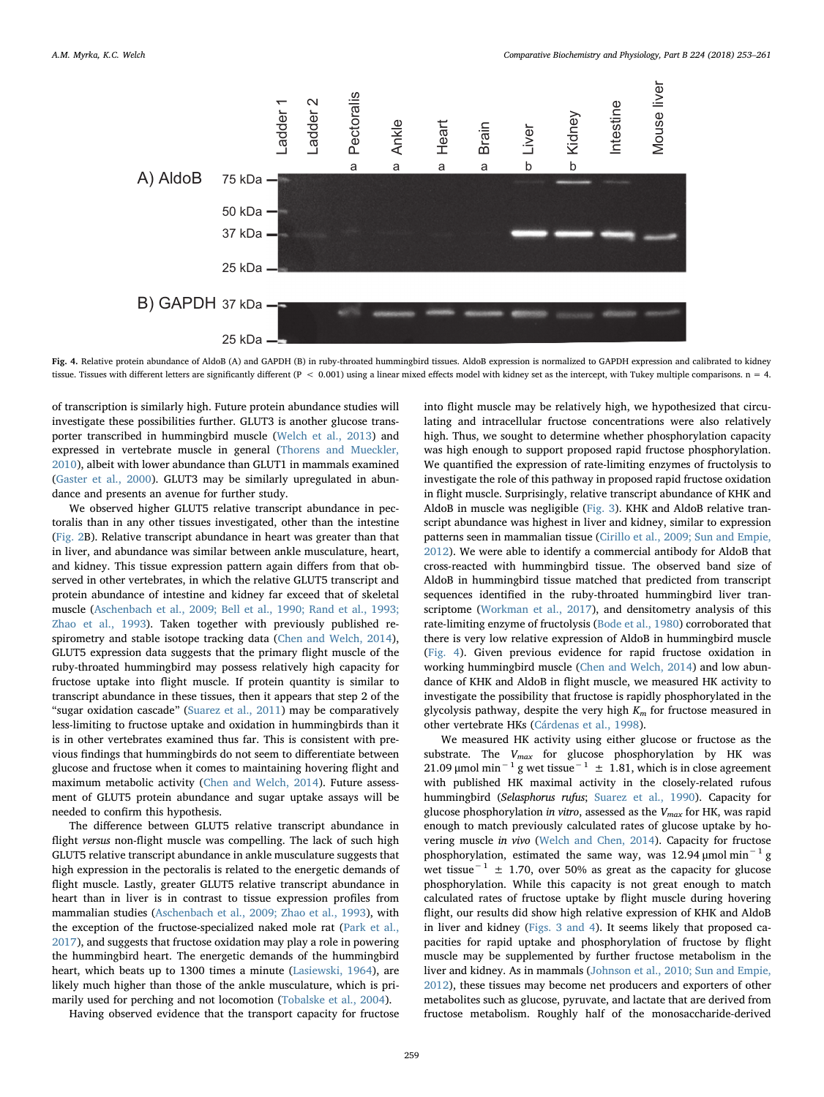<span id="page-6-0"></span>

Fig. 4. Relative protein abundance of AldoB (A) and GAPDH (B) in ruby-throated hummingbird tissues. AldoB expression is normalized to GAPDH expression and calibrated to kidney tissue. Tissues with different letters are significantly different ( $P < 0.001$ ) using a linear mixed effects model with kidney set as the intercept, with Tukey multiple comparisons.  $n = 4$ .

of transcription is similarly high. Future protein abundance studies will investigate these possibilities further. GLUT3 is another glucose transporter transcribed in hummingbird muscle [\(Welch et al., 2013\)](#page-8-4) and expressed in vertebrate muscle in general ([Thorens and Mueckler,](#page-8-12) [2010\)](#page-8-12), albeit with lower abundance than GLUT1 in mammals examined ([Gaster et al., 2000\)](#page-7-11). GLUT3 may be similarly upregulated in abundance and presents an avenue for further study.

We observed higher GLUT5 relative transcript abundance in pectoralis than in any other tissues investigated, other than the intestine ([Fig. 2B](#page-4-0)). Relative transcript abundance in heart was greater than that in liver, and abundance was similar between ankle musculature, heart, and kidney. This tissue expression pattern again differs from that observed in other vertebrates, in which the relative GLUT5 transcript and protein abundance of intestine and kidney far exceed that of skeletal muscle [\(Aschenbach et al., 2009; Bell et al., 1990; Rand et al., 1993;](#page-7-18) [Zhao et al., 1993\)](#page-7-18). Taken together with previously published respirometry and stable isotope tracking data ([Chen and Welch, 2014](#page-7-0)), GLUT5 expression data suggests that the primary flight muscle of the ruby-throated hummingbird may possess relatively high capacity for fructose uptake into flight muscle. If protein quantity is similar to transcript abundance in these tissues, then it appears that step 2 of the "sugar oxidation cascade" ([Suarez et al., 2011](#page-8-13)) may be comparatively less-limiting to fructose uptake and oxidation in hummingbirds than it is in other vertebrates examined thus far. This is consistent with previous findings that hummingbirds do not seem to differentiate between glucose and fructose when it comes to maintaining hovering flight and maximum metabolic activity [\(Chen and Welch, 2014](#page-7-0)). Future assessment of GLUT5 protein abundance and sugar uptake assays will be needed to confirm this hypothesis.

The difference between GLUT5 relative transcript abundance in flight versus non-flight muscle was compelling. The lack of such high GLUT5 relative transcript abundance in ankle musculature suggests that high expression in the pectoralis is related to the energetic demands of flight muscle. Lastly, greater GLUT5 relative transcript abundance in heart than in liver is in contrast to tissue expression profiles from mammalian studies [\(Aschenbach et al., 2009; Zhao et al., 1993\)](#page-7-18), with the exception of the fructose-specialized naked mole rat [\(Park et al.,](#page-7-19) [2017\)](#page-7-19), and suggests that fructose oxidation may play a role in powering the hummingbird heart. The energetic demands of the hummingbird heart, which beats up to 1300 times a minute ([Lasiewski, 1964](#page-7-20)), are likely much higher than those of the ankle musculature, which is primarily used for perching and not locomotion ([Tobalske et al., 2004](#page-8-14)).

Having observed evidence that the transport capacity for fructose

into flight muscle may be relatively high, we hypothesized that circulating and intracellular fructose concentrations were also relatively high. Thus, we sought to determine whether phosphorylation capacity was high enough to support proposed rapid fructose phosphorylation. We quantified the expression of rate-limiting enzymes of fructolysis to investigate the role of this pathway in proposed rapid fructose oxidation in flight muscle. Surprisingly, relative transcript abundance of KHK and AldoB in muscle was negligible [\(Fig. 3\)](#page-5-0). KHK and AldoB relative transcript abundance was highest in liver and kidney, similar to expression patterns seen in mammalian tissue ([Cirillo et al., 2009; Sun and Empie,](#page-7-13) [2012\)](#page-7-13). We were able to identify a commercial antibody for AldoB that cross-reacted with hummingbird tissue. The observed band size of AldoB in hummingbird tissue matched that predicted from transcript sequences identified in the ruby-throated hummingbird liver transcriptome ([Workman et al., 2017\)](#page-8-7), and densitometry analysis of this rate-limiting enzyme of fructolysis ([Bode et al., 1980\)](#page-7-16) corroborated that there is very low relative expression of AldoB in hummingbird muscle ([Fig. 4](#page-6-0)). Given previous evidence for rapid fructose oxidation in working hummingbird muscle [\(Chen and Welch, 2014\)](#page-7-0) and low abundance of KHK and AldoB in flight muscle, we measured HK activity to investigate the possibility that fructose is rapidly phosphorylated in the glycolysis pathway, despite the very high  $K_m$  for fructose measured in other vertebrate HKs [\(Cárdenas et al., 1998](#page-7-12)).

We measured HK activity using either glucose or fructose as the substrate. The  $V_{max}$  for glucose phosphorylation by HK was 21.09 µmol min<sup>−1</sup> g wet tissue<sup>−1</sup> ± 1.81, which is in close agreement with published HK maximal activity in the closely-related rufous hummingbird (Selasphorus rufus; [Suarez et al., 1990\)](#page-8-15). Capacity for glucose phosphorylation in vitro, assessed as the  $V_{max}$  for HK, was rapid enough to match previously calculated rates of glucose uptake by hovering muscle in vivo ([Welch and Chen, 2014](#page-8-8)). Capacity for fructose phosphorylation, estimated the same way, was 12.94  $\mu$ mol min<sup>-1</sup> g wet tissue<sup>-1</sup> ± 1.70, over 50% as great as the capacity for glucose phosphorylation. While this capacity is not great enough to match calculated rates of fructose uptake by flight muscle during hovering flight, our results did show high relative expression of KHK and AldoB in liver and kidney [\(Figs. 3 and 4\)](#page-5-0). It seems likely that proposed capacities for rapid uptake and phosphorylation of fructose by flight muscle may be supplemented by further fructose metabolism in the liver and kidney. As in mammals [\(Johnson et al., 2010; Sun and Empie,](#page-7-21) [2012\)](#page-7-21), these tissues may become net producers and exporters of other metabolites such as glucose, pyruvate, and lactate that are derived from fructose metabolism. Roughly half of the monosaccharide-derived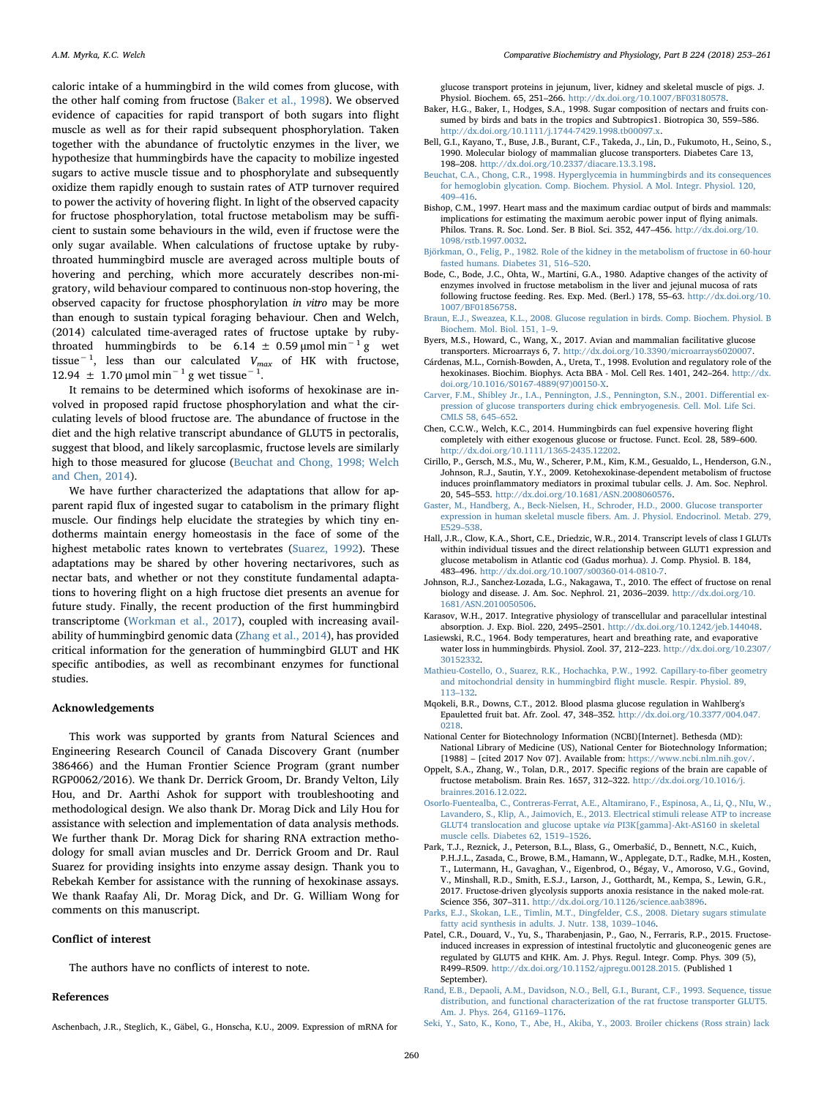caloric intake of a hummingbird in the wild comes from glucose, with the other half coming from fructose [\(Baker et al., 1998](#page-7-5)). We observed evidence of capacities for rapid transport of both sugars into flight muscle as well as for their rapid subsequent phosphorylation. Taken together with the abundance of fructolytic enzymes in the liver, we hypothesize that hummingbirds have the capacity to mobilize ingested sugars to active muscle tissue and to phosphorylate and subsequently oxidize them rapidly enough to sustain rates of ATP turnover required to power the activity of hovering flight. In light of the observed capacity for fructose phosphorylation, total fructose metabolism may be sufficient to sustain some behaviours in the wild, even if fructose were the only sugar available. When calculations of fructose uptake by rubythroated hummingbird muscle are averaged across multiple bouts of hovering and perching, which more accurately describes non-migratory, wild behaviour compared to continuous non-stop hovering, the observed capacity for fructose phosphorylation in vitro may be more than enough to sustain typical foraging behaviour. Chen and Welch, (2014) calculated time-averaged rates of fructose uptake by rubythroated hummingbirds to be 6.14 ± 0.59 µmol min<sup>-1</sup> g wet tissue<sup>-1</sup>, less than our calculated  $V_{max}$  of HK with fructose, 12.94  $\pm$  1.70 µmol min<sup>-1</sup> g wet tissue<sup>-1</sup>.

It remains to be determined which isoforms of hexokinase are involved in proposed rapid fructose phosphorylation and what the circulating levels of blood fructose are. The abundance of fructose in the diet and the high relative transcript abundance of GLUT5 in pectoralis, suggest that blood, and likely sarcoplasmic, fructose levels are similarly high to those measured for glucose [\(Beuchat and Chong, 1998; Welch](#page-7-2) [and Chen, 2014](#page-7-2)).

We have further characterized the adaptations that allow for apparent rapid flux of ingested sugar to catabolism in the primary flight muscle. Our findings help elucidate the strategies by which tiny endotherms maintain energy homeostasis in the face of some of the highest metabolic rates known to vertebrates ([Suarez, 1992](#page-8-0)). These adaptations may be shared by other hovering nectarivores, such as nectar bats, and whether or not they constitute fundamental adaptations to hovering flight on a high fructose diet presents an avenue for future study. Finally, the recent production of the first hummingbird transcriptome ([Workman et al., 2017\)](#page-8-7), coupled with increasing availability of hummingbird genomic data [\(Zhang et al., 2014](#page-8-16)), has provided critical information for the generation of hummingbird GLUT and HK specific antibodies, as well as recombinant enzymes for functional studies.

#### Acknowledgements

This work was supported by grants from Natural Sciences and Engineering Research Council of Canada Discovery Grant (number 386466) and the Human Frontier Science Program (grant number RGP0062/2016). We thank Dr. Derrick Groom, Dr. Brandy Velton, Lily Hou, and Dr. Aarthi Ashok for support with troubleshooting and methodological design. We also thank Dr. Morag Dick and Lily Hou for assistance with selection and implementation of data analysis methods. We further thank Dr. Morag Dick for sharing RNA extraction methodology for small avian muscles and Dr. Derrick Groom and Dr. Raul Suarez for providing insights into enzyme assay design. Thank you to Rebekah Kember for assistance with the running of hexokinase assays. We thank Raafay Ali, Dr. Morag Dick, and Dr. G. William Wong for comments on this manuscript.

# Conflict of interest

The authors have no conflicts of interest to note.

# <span id="page-7-18"></span>References

glucose transport proteins in jejunum, liver, kidney and skeletal muscle of pigs. J. Physiol. Biochem. 65, 251–266. [http://dx.doi.org/10.1007/BF03180578.](http://dx.doi.org/10.1007/BF03180578)

- <span id="page-7-5"></span>Baker, H.G., Baker, I., Hodges, S.A., 1998. Sugar composition of nectars and fruits consumed by birds and bats in the tropics and Subtropics1. Biotropica 30, 559–586. <http://dx.doi.org/10.1111/j.1744-7429.1998.tb00097.x>.
- Bell, G.I., Kayano, T., Buse, J.B., Burant, C.F., Takeda, J., Lin, D., Fukumoto, H., Seino, S., 1990. Molecular biology of mammalian glucose transporters. Diabetes Care 13, 198–208. [http://dx.doi.org/10.2337/diacare.13.3.198.](http://dx.doi.org/10.2337/diacare.13.3.198)
- <span id="page-7-2"></span>[Beuchat, C.A., Chong, C.R., 1998. Hyperglycemia in hummingbirds and its consequences](http://refhub.elsevier.com/S1096-4959(17)30162-8/rf0020) [for hemoglobin glycation. Comp. Biochem. Physiol. A Mol. Integr. Physiol. 120,](http://refhub.elsevier.com/S1096-4959(17)30162-8/rf0020) 409–[416](http://refhub.elsevier.com/S1096-4959(17)30162-8/rf0020).
- <span id="page-7-7"></span>Bishop, C.M., 1997. Heart mass and the maximum cardiac output of birds and mammals: implications for estimating the maximum aerobic power input of flying animals. Philos. Trans. R. Soc. Lond. Ser. B Biol. Sci. 352, 447–456. [http://dx.doi.org/10.](http://dx.doi.org/10.1098/rstb.1997.0032) [1098/rstb.1997.0032](http://dx.doi.org/10.1098/rstb.1997.0032).
- <span id="page-7-14"></span>[Björkman, O., Felig, P., 1982. Role of the kidney in the metabolism of fructose in 60-hour](http://refhub.elsevier.com/S1096-4959(17)30162-8/rf0030) [fasted humans. Diabetes 31, 516](http://refhub.elsevier.com/S1096-4959(17)30162-8/rf0030)–520.
- <span id="page-7-16"></span>Bode, C., Bode, J.C., Ohta, W., Martini, G.A., 1980. Adaptive changes of the activity of enzymes involved in fructose metabolism in the liver and jejunal mucosa of rats following fructose feeding. Res. Exp. Med. (Berl.) 178, 55–63. [http://dx.doi.org/10.](http://dx.doi.org/10.1007/BF01856758) [1007/BF01856758](http://dx.doi.org/10.1007/BF01856758).
- <span id="page-7-1"></span>[Braun, E.J., Sweazea, K.L., 2008. Glucose regulation in birds. Comp. Biochem. Physiol. B](http://refhub.elsevier.com/S1096-4959(17)30162-8/rf0040) [Biochem. Mol. Biol. 151, 1](http://refhub.elsevier.com/S1096-4959(17)30162-8/rf0040)–9.
- <span id="page-7-9"></span>Byers, M.S., Howard, C., Wang, X., 2017. Avian and mammalian facilitative glucose transporters. Microarrays 6, 7. <http://dx.doi.org/10.3390/microarrays6020007>.
- <span id="page-7-12"></span>Cárdenas, M.L., Cornish-Bowden, A., Ureta, T., 1998. Evolution and regulatory role of the hexokinases. Biochim. Biophys. Acta BBA - Mol. Cell Res. 1401, 242–264. [http://dx.](http://dx.doi.org/10.1016/S0167-4889(97)00150-X) [doi.org/10.1016/S0167-4889\(97\)00150-X](http://dx.doi.org/10.1016/S0167-4889(97)00150-X).
- [Carver, F.M., Shibley Jr., I.A., Pennington, J.S., Pennington, S.N., 2001. Di](http://refhub.elsevier.com/S1096-4959(17)30162-8/rf0055)fferential ex[pression of glucose transporters during chick embryogenesis. Cell. Mol. Life Sci.](http://refhub.elsevier.com/S1096-4959(17)30162-8/rf0055) [CMLS 58, 645](http://refhub.elsevier.com/S1096-4959(17)30162-8/rf0055)–652.
- <span id="page-7-0"></span>Chen, C.C.W., Welch, K.C., 2014. Hummingbirds can fuel expensive hovering flight completely with either exogenous glucose or fructose. Funct. Ecol. 28, 589–600. [http://dx.doi.org/10.1111/1365-2435.12202.](http://dx.doi.org/10.1111/1365-2435.12202)
- <span id="page-7-13"></span>Cirillo, P., Gersch, M.S., Mu, W., Scherer, P.M., Kim, K.M., Gesualdo, L., Henderson, G.N., Johnson, R.J., Sautin, Y.Y., 2009. Ketohexokinase-dependent metabolism of fructose induces proinflammatory mediators in proximal tubular cells. J. Am. Soc. Nephrol. 20, 545–553. <http://dx.doi.org/10.1681/ASN.2008060576>.
- <span id="page-7-11"></span>[Gaster, M., Handberg, A., Beck-Nielsen, H., Schroder, H.D., 2000. Glucose transporter](http://refhub.elsevier.com/S1096-4959(17)30162-8/rf0070) expression in human skeletal muscle fi[bers. Am. J. Physiol. Endocrinol. Metab. 279,](http://refhub.elsevier.com/S1096-4959(17)30162-8/rf0070) [E529](http://refhub.elsevier.com/S1096-4959(17)30162-8/rf0070)–538.
- Hall, J.R., Clow, K.A., Short, C.E., Driedzic, W.R., 2014. Transcript levels of class I GLUTs within individual tissues and the direct relationship between GLUT1 expression and glucose metabolism in Atlantic cod (Gadus morhua). J. Comp. Physiol. B. 184, 483–496. <http://dx.doi.org/10.1007/s00360-014-0810-7>.
- <span id="page-7-21"></span>Johnson, R.J., Sanchez-Lozada, L.G., Nakagawa, T., 2010. The effect of fructose on renal biology and disease. J. Am. Soc. Nephrol. 21, 2036–2039. [http://dx.doi.org/10.](http://dx.doi.org/10.1681/ASN.2010050506) [1681/ASN.2010050506.](http://dx.doi.org/10.1681/ASN.2010050506)
- <span id="page-7-6"></span>Karasov, W.H., 2017. Integrative physiology of transcellular and paracellular intestinal absorption. J. Exp. Biol. 220, 2495–2501. <http://dx.doi.org/10.1242/jeb.144048>.
- <span id="page-7-20"></span>Lasiewski, R.C., 1964. Body temperatures, heart and breathing rate, and evaporative water loss in hummingbirds. Physiol. Zool. 37, 212–223. [http://dx.doi.org/10.2307/](http://dx.doi.org/10.2307/30152332) [30152332](http://dx.doi.org/10.2307/30152332).
- <span id="page-7-8"></span>[Mathieu-Costello, O., Suarez, R.K., Hochachka, P.W., 1992. Capillary-to-](http://refhub.elsevier.com/S1096-4959(17)30162-8/rf0095)fiber geometry [and mitochondrial density in hummingbird](http://refhub.elsevier.com/S1096-4959(17)30162-8/rf0095) flight muscle. Respir. Physiol. 89, 113–[132](http://refhub.elsevier.com/S1096-4959(17)30162-8/rf0095).
- Mqokeli, B.R., Downs, C.T., 2012. Blood plasma glucose regulation in Wahlberg's Epauletted fruit bat. Afr. Zool. 47, 348–352. [http://dx.doi.org/10.3377/004.047.](http://dx.doi.org/10.3377/004.047.0218) [0218.](http://dx.doi.org/10.3377/004.047.0218)
- <span id="page-7-17"></span>National Center for Biotechnology Information (NCBI)[Internet]. Bethesda (MD): National Library of Medicine (US), National Center for Biotechnology Information; [1988] – [cited 2017 Nov 07]. Available from: [https://www.ncbi.nlm.nih.gov/.](https://www.ncbi.nlm.nih.gov/)
- <span id="page-7-15"></span>Oppelt, S.A., Zhang, W., Tolan, D.R., 2017. Specific regions of the brain are capable of fructose metabolism. Brain Res. 1657, 312–322. [http://dx.doi.org/10.1016/j.](http://dx.doi.org/10.1016/j.brainres.2016.12.022) [brainres.2016.12.022](http://dx.doi.org/10.1016/j.brainres.2016.12.022).
- <span id="page-7-10"></span>[OsorIo-Fuentealba, C., Contreras-Ferrat, A.E., Altamirano, F., Espinosa, A., Li, Q., NIu, W.,](http://refhub.elsevier.com/S1096-4959(17)30162-8/rf0110) [Lavandero, S., Klip, A., Jaimovich, E., 2013. Electrical stimuli release ATP to increase](http://refhub.elsevier.com/S1096-4959(17)30162-8/rf0110) [GLUT4 translocation and glucose uptake](http://refhub.elsevier.com/S1096-4959(17)30162-8/rf0110) via PI3K[gamma]-Akt-AS160 in skeletal [muscle cells. Diabetes 62, 1519](http://refhub.elsevier.com/S1096-4959(17)30162-8/rf0110)–1526.
- <span id="page-7-19"></span>Park, T.J., Reznick, J., Peterson, B.L., Blass, G., Omerbašić, D., Bennett, N.C., Kuich, P.H.J.L., Zasada, C., Browe, B.M., Hamann, W., Applegate, D.T., Radke, M.H., Kosten, T., Lutermann, H., Gavaghan, V., Eigenbrod, O., Bégay, V., Amoroso, V.G., Govind, V., Minshall, R.D., Smith, E.S.J., Larson, J., Gotthardt, M., Kempa, S., Lewin, G.R., 2017. Fructose-driven glycolysis supports anoxia resistance in the naked mole-rat. Science 356, 307–311. <http://dx.doi.org/10.1126/science.aab3896>.
- <span id="page-7-4"></span>[Parks, E.J., Skokan, L.E., Timlin, M.T., Dingfelder, C.S., 2008. Dietary sugars stimulate](http://refhub.elsevier.com/S1096-4959(17)30162-8/rf0120) [fatty acid synthesis in adults. J. Nutr. 138, 1039](http://refhub.elsevier.com/S1096-4959(17)30162-8/rf0120)–1046.
- <span id="page-7-3"></span>Patel, C.R., Douard, V., Yu, S., Tharabenjasin, P., Gao, N., Ferraris, R.P., 2015. Fructoseinduced increases in expression of intestinal fructolytic and gluconeogenic genes are regulated by GLUT5 and KHK. Am. J. Phys. Regul. Integr. Comp. Phys. 309 (5), R499–R509. [http://dx.doi.org/10.1152/ajpregu.00128.2015.](http://dx.doi.org/10.1152/ajpregu.00128.2015) (Published 1 [September\).](http://dx.doi.org/10.1152/ajpregu.00128.2015)
- [Rand, E.B., Depaoli, A.M., Davidson, N.O., Bell, G.I., Burant, C.F., 1993. Sequence, tissue](http://refhub.elsevier.com/S1096-4959(17)30162-8/rf0130) [distribution, and functional characterization of the rat fructose transporter GLUT5.](http://refhub.elsevier.com/S1096-4959(17)30162-8/rf0130) [Am. J. Phys. 264, G1169](http://refhub.elsevier.com/S1096-4959(17)30162-8/rf0130)–1176.
- [Seki, Y., Sato, K., Kono, T., Abe, H., Akiba, Y., 2003. Broiler chickens \(Ross strain\) lack](http://refhub.elsevier.com/S1096-4959(17)30162-8/rf0135)